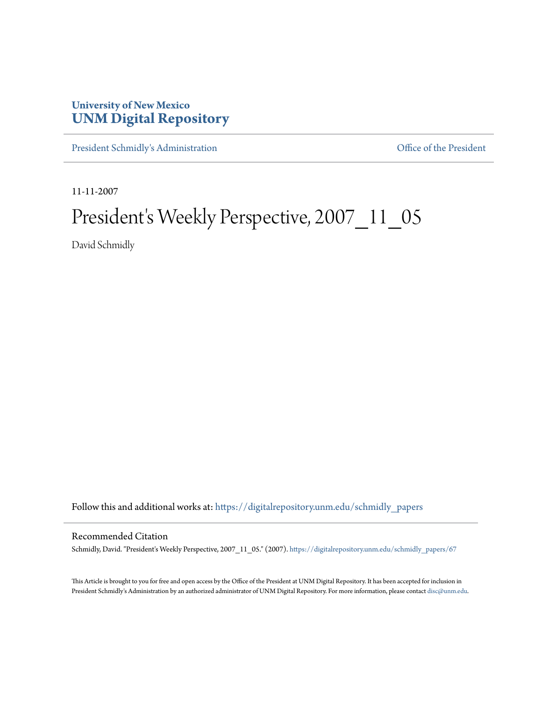## **University of New Mexico [UNM Digital Repository](https://digitalrepository.unm.edu?utm_source=digitalrepository.unm.edu%2Fschmidly_papers%2F67&utm_medium=PDF&utm_campaign=PDFCoverPages)**

[President Schmidly's Administration](https://digitalrepository.unm.edu/schmidly_papers?utm_source=digitalrepository.unm.edu%2Fschmidly_papers%2F67&utm_medium=PDF&utm_campaign=PDFCoverPages) [Office of the President](https://digitalrepository.unm.edu/ofc_president?utm_source=digitalrepository.unm.edu%2Fschmidly_papers%2F67&utm_medium=PDF&utm_campaign=PDFCoverPages)

11-11-2007

## President's Weekly Perspective, 2007\_11\_05

David Schmidly

Follow this and additional works at: [https://digitalrepository.unm.edu/schmidly\\_papers](https://digitalrepository.unm.edu/schmidly_papers?utm_source=digitalrepository.unm.edu%2Fschmidly_papers%2F67&utm_medium=PDF&utm_campaign=PDFCoverPages)

## Recommended Citation

Schmidly, David. "President's Weekly Perspective, 2007\_11\_05." (2007). [https://digitalrepository.unm.edu/schmidly\\_papers/67](https://digitalrepository.unm.edu/schmidly_papers/67?utm_source=digitalrepository.unm.edu%2Fschmidly_papers%2F67&utm_medium=PDF&utm_campaign=PDFCoverPages)

This Article is brought to you for free and open access by the Office of the President at UNM Digital Repository. It has been accepted for inclusion in President Schmidly's Administration by an authorized administrator of UNM Digital Repository. For more information, please contact [disc@unm.edu](mailto:disc@unm.edu).